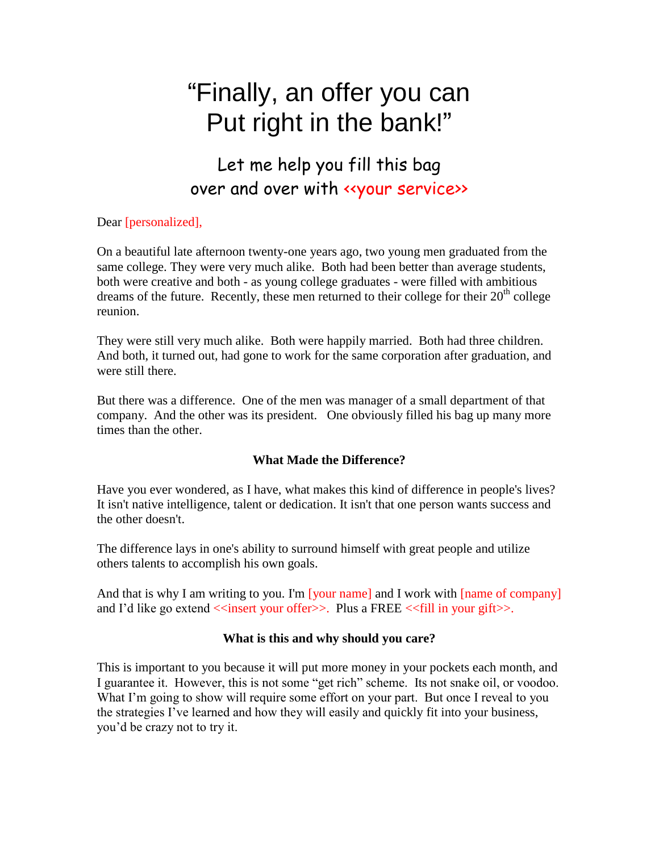# "Finally, an offer you can Put right in the bank!"

## Let me help you fill this bag over and over with «your service»

### Dear [personalized],

On a beautiful late afternoon twenty-one years ago, two young men graduated from the same college. They were very much alike. Both had been better than average students, both were creative and both - as young college graduates - were filled with ambitious dreams of the future. Recently, these men returned to their college for their 20<sup>th</sup> college reunion.

They were still very much alike. Both were happily married. Both had three children. And both, it turned out, had gone to work for the same corporation after graduation, and were still there.

But there was a difference. One of the men was manager of a small department of that company. And the other was its president. One obviously filled his bag up many more times than the other.

#### **What Made the Difference?**

Have you ever wondered, as I have, what makes this kind of difference in people's lives? It isn't native intelligence, talent or dedication. It isn't that one person wants success and the other doesn't.

The difference lays in one's ability to surround himself with great people and utilize others talents to accomplish his own goals.

And that is why I am writing to you. I'm [your name] and I work with [name of company] and I'd like go extend  $\le$ insert your offer $\ge$ . Plus a FREE  $\le$  fill in your gift $\ge$ .

#### **What is this and why should you care?**

This is important to you because it will put more money in your pockets each month, and I guarantee it. However, this is not some "get rich" scheme. Its not snake oil, or voodoo. What I'm going to show will require some effort on your part. But once I reveal to you the strategies I've learned and how they will easily and quickly fit into your business, you'd be crazy not to try it.